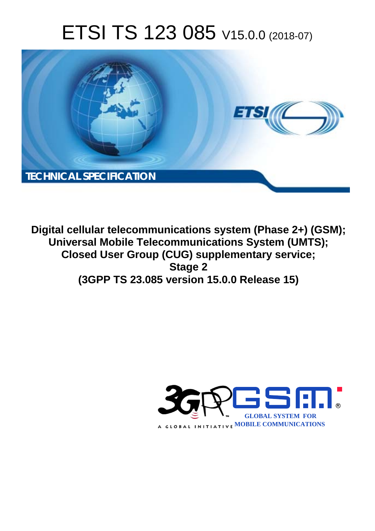# ETSI TS 123 085 V15.0.0 (2018-07)



**Digital cellular telecommunications system (Phase 2+) (GSM); Universal Mobile Telecommunications System (UMTS); Closed User Group (CUG) supplementary service; Stage 2 (3GPP TS 23.085 version 15.0.0 Release 15)** 

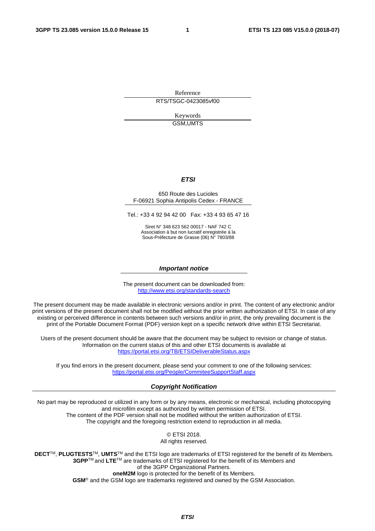Reference RTS/TSGC-0423085vf00

> Keywords GSM,UMTS

#### *ETSI*

#### 650 Route des Lucioles F-06921 Sophia Antipolis Cedex - FRANCE

Tel.: +33 4 92 94 42 00 Fax: +33 4 93 65 47 16

Siret N° 348 623 562 00017 - NAF 742 C Association à but non lucratif enregistrée à la Sous-Préfecture de Grasse (06) N° 7803/88

#### *Important notice*

The present document can be downloaded from: <http://www.etsi.org/standards-search>

The present document may be made available in electronic versions and/or in print. The content of any electronic and/or print versions of the present document shall not be modified without the prior written authorization of ETSI. In case of any existing or perceived difference in contents between such versions and/or in print, the only prevailing document is the print of the Portable Document Format (PDF) version kept on a specific network drive within ETSI Secretariat.

Users of the present document should be aware that the document may be subject to revision or change of status. Information on the current status of this and other ETSI documents is available at <https://portal.etsi.org/TB/ETSIDeliverableStatus.aspx>

If you find errors in the present document, please send your comment to one of the following services: <https://portal.etsi.org/People/CommiteeSupportStaff.aspx>

#### *Copyright Notification*

No part may be reproduced or utilized in any form or by any means, electronic or mechanical, including photocopying and microfilm except as authorized by written permission of ETSI. The content of the PDF version shall not be modified without the written authorization of ETSI. The copyright and the foregoing restriction extend to reproduction in all media.

> © ETSI 2018. All rights reserved.

**DECT**TM, **PLUGTESTS**TM, **UMTS**TM and the ETSI logo are trademarks of ETSI registered for the benefit of its Members. **3GPP**TM and **LTE**TM are trademarks of ETSI registered for the benefit of its Members and of the 3GPP Organizational Partners. **oneM2M** logo is protected for the benefit of its Members.

**GSM**® and the GSM logo are trademarks registered and owned by the GSM Association.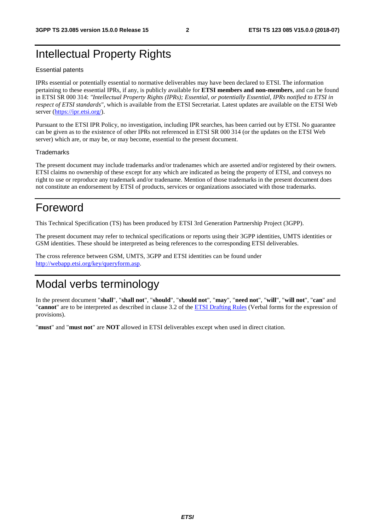### Intellectual Property Rights

#### Essential patents

IPRs essential or potentially essential to normative deliverables may have been declared to ETSI. The information pertaining to these essential IPRs, if any, is publicly available for **ETSI members and non-members**, and can be found in ETSI SR 000 314: *"Intellectual Property Rights (IPRs); Essential, or potentially Essential, IPRs notified to ETSI in respect of ETSI standards"*, which is available from the ETSI Secretariat. Latest updates are available on the ETSI Web server ([https://ipr.etsi.org/\)](https://ipr.etsi.org/).

Pursuant to the ETSI IPR Policy, no investigation, including IPR searches, has been carried out by ETSI. No guarantee can be given as to the existence of other IPRs not referenced in ETSI SR 000 314 (or the updates on the ETSI Web server) which are, or may be, or may become, essential to the present document.

#### **Trademarks**

The present document may include trademarks and/or tradenames which are asserted and/or registered by their owners. ETSI claims no ownership of these except for any which are indicated as being the property of ETSI, and conveys no right to use or reproduce any trademark and/or tradename. Mention of those trademarks in the present document does not constitute an endorsement by ETSI of products, services or organizations associated with those trademarks.

### Foreword

This Technical Specification (TS) has been produced by ETSI 3rd Generation Partnership Project (3GPP).

The present document may refer to technical specifications or reports using their 3GPP identities, UMTS identities or GSM identities. These should be interpreted as being references to the corresponding ETSI deliverables.

The cross reference between GSM, UMTS, 3GPP and ETSI identities can be found under [http://webapp.etsi.org/key/queryform.asp.](http://webapp.etsi.org/key/queryform.asp)

### Modal verbs terminology

In the present document "**shall**", "**shall not**", "**should**", "**should not**", "**may**", "**need not**", "**will**", "**will not**", "**can**" and "**cannot**" are to be interpreted as described in clause 3.2 of the [ETSI Drafting Rules](https://portal.etsi.org/Services/editHelp!/Howtostart/ETSIDraftingRules.aspx) (Verbal forms for the expression of provisions).

"**must**" and "**must not**" are **NOT** allowed in ETSI deliverables except when used in direct citation.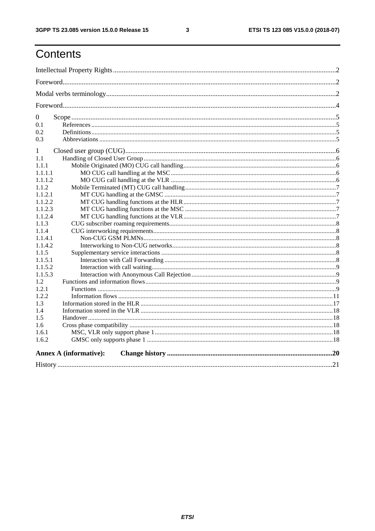$\mathbf{3}$ 

## Contents

| $\boldsymbol{0}$ |                               |  |
|------------------|-------------------------------|--|
| 0.1              |                               |  |
| 0.2              |                               |  |
| 0.3              |                               |  |
| 1                |                               |  |
| 1.1              |                               |  |
| 1.1.1            |                               |  |
| 1.1.1.1          |                               |  |
| 1.1.1.2          |                               |  |
| 1.1.2            |                               |  |
| 1.1.2.1          |                               |  |
| 1.1.2.2          |                               |  |
| 1.1.2.3          |                               |  |
| 1.1.2.4          |                               |  |
| 1.1.3            |                               |  |
| 1.1.4            |                               |  |
| 1.1.4.1          |                               |  |
| 1.1.4.2          |                               |  |
| 1.1.5            |                               |  |
| 1.1.5.1          |                               |  |
| 1.1.5.2          |                               |  |
| 1.1.5.3          |                               |  |
| 1.2              |                               |  |
| 1.2.1            |                               |  |
| 1.2.2            |                               |  |
| 1.3              |                               |  |
| 1.4              |                               |  |
| 1.5              |                               |  |
| 1.6              |                               |  |
| 1.6.1            |                               |  |
| 1.6.2            |                               |  |
|                  | <b>Annex A (informative):</b> |  |
|                  |                               |  |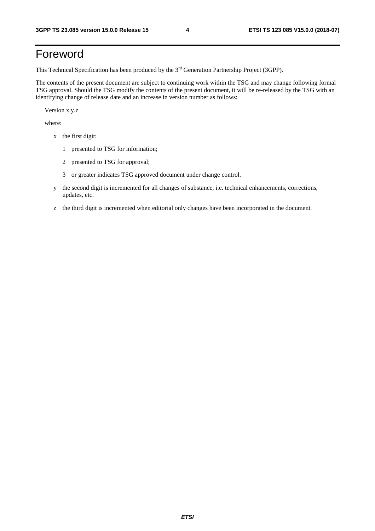### Foreword

This Technical Specification has been produced by the 3rd Generation Partnership Project (3GPP).

The contents of the present document are subject to continuing work within the TSG and may change following formal TSG approval. Should the TSG modify the contents of the present document, it will be re-released by the TSG with an identifying change of release date and an increase in version number as follows:

Version x.y.z

where:

- x the first digit:
	- 1 presented to TSG for information;
	- 2 presented to TSG for approval;
	- 3 or greater indicates TSG approved document under change control.
- y the second digit is incremented for all changes of substance, i.e. technical enhancements, corrections, updates, etc.
- z the third digit is incremented when editorial only changes have been incorporated in the document.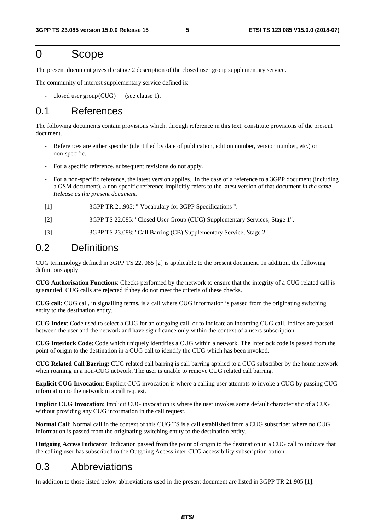### 0 Scope

The present document gives the stage 2 description of the closed user group supplementary service.

The community of interest supplementary service defined is:

 $closed$  user group (CUG) (see clause 1).

### 0.1 References

The following documents contain provisions which, through reference in this text, constitute provisions of the present document.

- References are either specific (identified by date of publication, edition number, version number, etc.) or non-specific.
- For a specific reference, subsequent revisions do not apply.
- For a non-specific reference, the latest version applies. In the case of a reference to a 3GPP document (including a GSM document), a non-specific reference implicitly refers to the latest version of that document *in the same Release as the present document*.
- [1] 3GPP TR 21.905: " Vocabulary for 3GPP Specifications ".
- [2] 3GPP TS 22.085: "Closed User Group (CUG) Supplementary Services; Stage 1".
- [3] 3GPP TS 23.088: "Call Barring (CB) Supplementary Service; Stage 2".

### 0.2 Definitions

CUG terminology defined in 3GPP TS 22. 085 [2] is applicable to the present document. In addition, the following definitions apply.

**CUG Authorisation Functions**: Checks performed by the network to ensure that the integrity of a CUG related call is guarantied. CUG calls are rejected if they do not meet the criteria of these checks.

**CUG call**: CUG call, in signalling terms, is a call where CUG information is passed from the originating switching entity to the destination entity.

**CUG Index**: Code used to select a CUG for an outgoing call, or to indicate an incoming CUG call. Indices are passed between the user and the network and have significance only within the context of a users subscription.

**CUG Interlock Code**: Code which uniquely identifies a CUG within a network. The Interlock code is passed from the point of origin to the destination in a CUG call to identify the CUG which has been invoked.

**CUG Related Call Barring**: CUG related call barring is call barring applied to a CUG subscriber by the home network when roaming in a non-CUG network. The user is unable to remove CUG related call barring.

**Explicit CUG Invocation**: Explicit CUG invocation is where a calling user attempts to invoke a CUG by passing CUG information to the network in a call request.

**Implicit CUG Invocation**: Implicit CUG invocation is where the user invokes some default characteristic of a CUG without providing any CUG information in the call request.

**Normal Call**: Normal call in the context of this CUG TS is a call established from a CUG subscriber where no CUG information is passed from the originating switching entity to the destination entity.

**Outgoing Access Indicator**: Indication passed from the point of origin to the destination in a CUG call to indicate that the calling user has subscribed to the Outgoing Access inter-CUG accessibility subscription option.

### 0.3 Abbreviations

In addition to those listed below abbreviations used in the present document are listed in 3GPP TR 21.905 [1].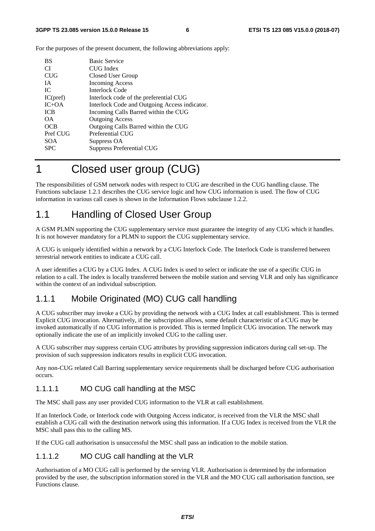For the purposes of the present document, the following abbreviations apply:

| <b>BS</b>  | <b>Basic Service</b>                          |
|------------|-----------------------------------------------|
| CI.        | CUG Index                                     |
| <b>CUG</b> | Closed User Group                             |
| <b>IA</b>  | <b>Incoming Access</b>                        |
| IC.        | Interlock Code                                |
| IC(pref)   | Interlock code of the preferential CUG        |
| $IC+OA$    | Interlock Code and Outgoing Access indicator. |
| <b>ICB</b> | Incoming Calls Barred within the CUG          |
| OΑ         | <b>Outgoing Access</b>                        |
| OCB        | Outgoing Calls Barred within the CUG          |
| Pref CUG   | Preferential CUG                              |
| <b>SOA</b> | Suppress OA                                   |
| <b>SPC</b> | <b>Suppress Preferential CUG</b>              |

### 1 Closed user group (CUG)

The responsibilities of GSM network nodes with respect to CUG are described in the CUG handling clause. The Functions subclause 1.2.1 describes the CUG service logic and how CUG information is used. The flow of CUG information in various call cases is shown in the Information Flows subclause 1.2.2.

### 1.1 Handling of Closed User Group

A GSM PLMN supporting the CUG supplementary service must guarantee the integrity of any CUG which it handles. It is not however mandatory for a PLMN to support the CUG supplementary service.

A CUG is uniquely identified within a network by a CUG Interlock Code. The Interlock Code is transferred between terrestrial network entities to indicate a CUG call.

A user identifies a CUG by a CUG Index. A CUG Index is used to select or indicate the use of a specific CUG in relation to a call. The index is locally transferred between the mobile station and serving VLR and only has significance within the context of an individual subscription.

#### 1.1.1 Mobile Originated (MO) CUG call handling

A CUG subscriber may invoke a CUG by providing the network with a CUG Index at call establishment. This is termed Explicit CUG invocation. Alternatively, if the subscription allows, some default characteristic of a CUG may be invoked automatically if no CUG information is provided. This is termed Implicit CUG invocation. The network may optionally indicate the use of an implicitly invoked CUG to the calling user.

A CUG subscriber may suppress certain CUG attributes by providing suppression indicators during call set-up. The provision of such suppression indicators results in explicit CUG invocation.

Any non-CUG related Call Barring supplementary service requirements shall be discharged before CUG authorisation occurs.

#### 1.1.1.1 MO CUG call handling at the MSC

The MSC shall pass any user provided CUG information to the VLR at call establishment.

If an Interlock Code, or Interlock code with Outgoing Access indicator, is received from the VLR the MSC shall establish a CUG call with the destination network using this information. If a CUG Index is received from the VLR the MSC shall pass this to the calling MS.

If the CUG call authorisation is unsuccessful the MSC shall pass an indication to the mobile station.

#### 1.1.1.2 MO CUG call handling at the VLR

Authorisation of a MO CUG call is performed by the serving VLR. Authorisation is determined by the information provided by the user, the subscription information stored in the VLR and the MO CUG call authorisation function, see Functions clause.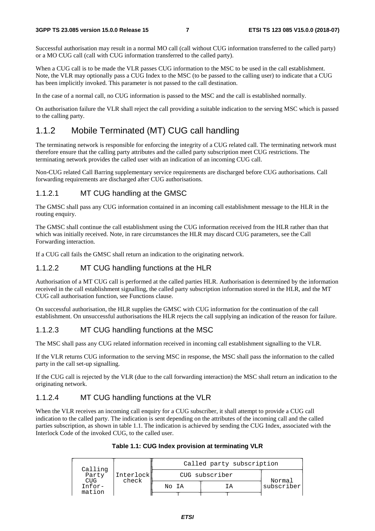Successful authorisation may result in a normal MO call (call without CUG information transferred to the called party) or a MO CUG call (call with CUG information transferred to the called party).

When a CUG call is to be made the VLR passes CUG information to the MSC to be used in the call establishment. Note, the VLR may optionally pass a CUG Index to the MSC (to be passed to the calling user) to indicate that a CUG has been implicitly invoked. This parameter is not passed to the call destination.

In the case of a normal call, no CUG information is passed to the MSC and the call is established normally.

On authorisation failure the VLR shall reject the call providing a suitable indication to the serving MSC which is passed to the calling party.

### 1.1.2 Mobile Terminated (MT) CUG call handling

The terminating network is responsible for enforcing the integrity of a CUG related call. The terminating network must therefore ensure that the calling party attributes and the called party subscription meet CUG restrictions. The terminating network provides the called user with an indication of an incoming CUG call.

Non-CUG related Call Barring supplementary service requirements are discharged before CUG authorisations. Call forwarding requirements are discharged after CUG authorisations.

#### 1.1.2.1 MT CUG handling at the GMSC

The GMSC shall pass any CUG information contained in an incoming call establishment message to the HLR in the routing enquiry.

The GMSC shall continue the call establishment using the CUG information received from the HLR rather than that which was initially received. Note, in rare circumstances the HLR may discard CUG parameters, see the Call Forwarding interaction.

If a CUG call fails the GMSC shall return an indication to the originating network.

#### 1.1.2.2 MT CUG handling functions at the HLR

Authorisation of a MT CUG call is performed at the called parties HLR. Authorisation is determined by the information received in the call establishment signalling, the called party subscription information stored in the HLR, and the MT CUG call authorisation function, see Functions clause.

On successful authorisation, the HLR supplies the GMSC with CUG information for the continuation of the call establishment. On unsuccessful authorisations the HLR rejects the call supplying an indication of the reason for failure.

#### 1.1.2.3 MT CUG handling functions at the MSC

The MSC shall pass any CUG related information received in incoming call establishment signalling to the VLR.

If the VLR returns CUG information to the serving MSC in response, the MSC shall pass the information to the called party in the call set-up signalling.

If the CUG call is rejected by the VLR (due to the call forwarding interaction) the MSC shall return an indication to the originating network.

#### 1.1.2.4 MT CUG handling functions at the VLR

When the VLR receives an incoming call enquiry for a CUG subscriber, it shall attempt to provide a CUG call indication to the called party. The indication is sent depending on the attributes of the incoming call and the called parties subscription, as shown in table 1.1. The indication is achieved by sending the CUG Index, associated with the Interlock Code of the invoked CUG, to the called user.

| Calling                | Interlock<br>check |                | Called party subscription |            |
|------------------------|--------------------|----------------|---------------------------|------------|
| Party                  |                    | CUG subscriber | Normal                    |            |
| <b>CUG</b><br>$Infor-$ |                    | No IA          | TΑ                        | subscriber |
| mation                 |                    |                |                           |            |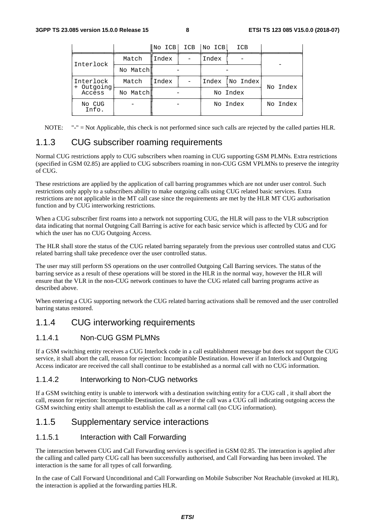| No Index |
|----------|
|          |
| No Index |
|          |

NOTE: "-" = Not Applicable, this check is not performed since such calls are rejected by the called parties HLR.

#### 1.1.3 CUG subscriber roaming requirements

Normal CUG restrictions apply to CUG subscribers when roaming in CUG supporting GSM PLMNs. Extra restrictions (specified in GSM 02.85) are applied to CUG subscribers roaming in non-CUG GSM VPLMNs to preserve the integrity of CUG.

These restrictions are applied by the application of call barring programmes which are not under user control. Such restrictions only apply to a subscribers ability to make outgoing calls using CUG related basic services. Extra restrictions are not applicable in the MT call case since the requirements are met by the HLR MT CUG authorisation function and by CUG interworking restrictions.

When a CUG subscriber first roams into a network not supporting CUG, the HLR will pass to the VLR subscription data indicating that normal Outgoing Call Barring is active for each basic service which is affected by CUG and for which the user has no CUG Outgoing Access.

The HLR shall store the status of the CUG related barring separately from the previous user controlled status and CUG related barring shall take precedence over the user controlled status.

The user may still perform SS operations on the user controlled Outgoing Call Barring services. The status of the barring service as a result of these operations will be stored in the HLR in the normal way, however the HLR will ensure that the VLR in the non-CUG network continues to have the CUG related call barring programs active as described above.

When entering a CUG supporting network the CUG related barring activations shall be removed and the user controlled barring status restored.

#### 1.1.4 CUG interworking requirements

#### 1.1.4.1 Non-CUG GSM PLMNs

If a GSM switching entity receives a CUG Interlock code in a call establishment message but does not support the CUG service, it shall abort the call, reason for rejection: Incompatible Destination. However if an Interlock and Outgoing Access indicator are received the call shall continue to be established as a normal call with no CUG information.

#### 1.1.4.2 Interworking to Non-CUG networks

If a GSM switching entity is unable to interwork with a destination switching entity for a CUG call , it shall abort the call, reason for rejection: Incompatible Destination. However if the call was a CUG call indicating outgoing access the GSM switching entity shall attempt to establish the call as a normal call (no CUG information).

#### 1.1.5 Supplementary service interactions

#### 1.1.5.1 Interaction with Call Forwarding

The interaction between CUG and Call Forwarding services is specified in GSM 02.85. The interaction is applied after the calling and called party CUG call has been successfully authorised, and Call Forwarding has been invoked. The interaction is the same for all types of call forwarding.

In the case of Call Forward Unconditional and Call Forwarding on Mobile Subscriber Not Reachable (invoked at HLR), the interaction is applied at the forwarding parties HLR.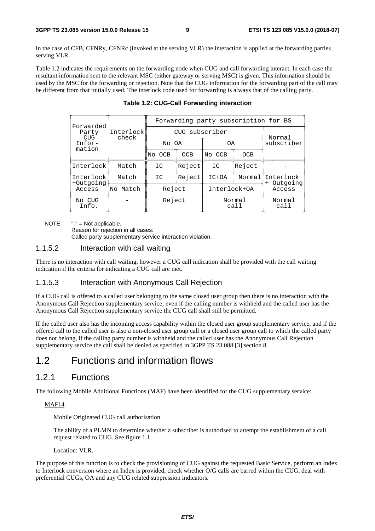In the case of CFB, CFNRy, CFNRc (invoked at the serving VLR) the interaction is applied at the forwarding parties serving VLR.

Table 1.2 indicates the requirements on the forwarding node when CUG and call forwarding interact. In each case the resultant information sent to the relevant MSC (either gateway or serving MSC) is given. This information should be used by the MSC for the forwarding or rejection. Note that the CUG information for the forwarding part of the call may be different from that initially used. The interlock code used for forwarding is always that of the calling party.

| Forwarded                 |                    | Forwarding party subscription for BS |        |                |        |                       |  |  |  |
|---------------------------|--------------------|--------------------------------------|--------|----------------|--------|-----------------------|--|--|--|
| Party<br>CUG <sup>-</sup> | Interlock<br>check | CUG subscriber                       | Normal |                |        |                       |  |  |  |
| $Infor-$<br>mation        |                    | No OA                                |        | 0A             |        | subscriber            |  |  |  |
|                           |                    | No OCB                               | OCB    | No OCB         | OCB    |                       |  |  |  |
| Interlock                 | Match              | IC                                   | Reject | IC             | Reject |                       |  |  |  |
| Interlock<br>+Outgoing    | Match              | IC.                                  | Reject | $IC+OA$        | Normal | Interlock<br>Outgoing |  |  |  |
| Access                    | No Match           | Reject                               |        | Interlock+OA   |        | Access                |  |  |  |
| No CUG<br>Info.           |                    | Reject                               |        | Normal<br>call |        | Normal<br>call        |  |  |  |

**Table 1.2: CUG-Call Forwarding interaction** 

NOTE: "-" = Not applicable.

Reason for rejection in all cases: Called party supplementary service interaction violation.

#### 1.1.5.2 Interaction with call waiting

There is no interaction with call waiting, however a CUG call indication shall be provided with the call waiting indication if the criteria for indicating a CUG call are met.

#### 1.1.5.3 Interaction with Anonymous Call Rejection

If a CUG call is offered to a called user belonging to the same closed user group then there is no interaction with the Anonymous Call Rejection supplementary service; even if the calling number is withheld and the called user has the Anonymous Call Rejection supplementary service the CUG call shall still be permitted.

If the called user also has the incoming access capability within the closed user group supplementary service, and if the offered call to the called user is also a non-closed user group call or a closed user group call to which the called party does not belong, if the calling party number is withheld and the called user has the Anonymous Call Rejection supplementary service the call shall be denied as specified in 3GPP TS 23.088 [3] section 8.

### 1.2 Functions and information flows

#### 1.2.1 Functions

The following Mobile Additional Functions (MAF) have been identified for the CUG supplementary service:

#### MAF14

Mobile Originated CUG call authorisation.

 The ability of a PLMN to determine whether a subscriber is authorised to attempt the establishment of a call request related to CUG. See figure 1.1.

Location: VLR.

The purpose of this function is to check the provisioning of CUG against the requested Basic Service, perform an Index to Interlock conversion where an Index is provided, check whether O/G calls are barred within the CUG, deal with preferential CUGs, OA and any CUG related suppression indicators.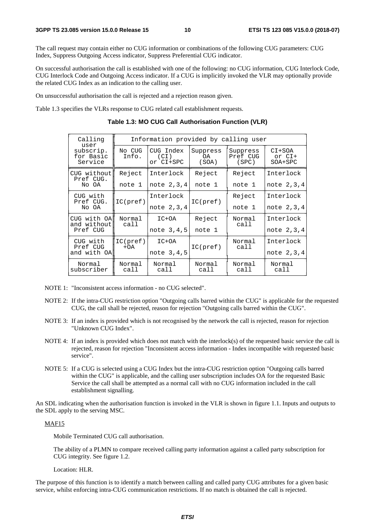The call request may contain either no CUG information or combinations of the following CUG parameters: CUG Index, Suppress Outgoing Access indicator, Suppress Preferential CUG indicator.

On successful authorisation the call is established with one of the following: no CUG information, CUG Interlock Code, CUG Interlock Code and Outgoing Access indicator. If a CUG is implicitly invoked the VLR may optionally provide the related CUG Index as an indication to the calling user.

On unsuccessful authorisation the call is rejected and a rejection reason given.

Table 1.3 specifies the VLRs response to CUG related call establishment requests.

| Calling<br>user                   | Information provided by calling user |                                |                         |                               |                               |  |  |  |
|-----------------------------------|--------------------------------------|--------------------------------|-------------------------|-------------------------------|-------------------------------|--|--|--|
| subscrip.<br>for Basic<br>Service | No CUG<br>Info.                      | CUG Index<br>(CI)<br>or CI+SPC | Suppress<br>0A<br>(SOA) | Suppress<br>Pref CUG<br>(SPC) | CI+SOA<br>or CI+<br>$SOA+SPC$ |  |  |  |
| CUG without<br>Pref CUG.          | Reject                               | Interlock                      | Reject                  | Reject                        | Interlock                     |  |  |  |
| No OA                             | note 1                               | note 2, 3, 4                   | note 1                  | note 1                        | note 2, 3, 4                  |  |  |  |
| CUG with<br>Pref CUG.             | IC(pref)                             | Interlock                      | IC(pref)                | Reject                        | Interlock                     |  |  |  |
| No OA                             |                                      | note 2, 3, 4                   |                         | note 1                        | note 2, 3, 4                  |  |  |  |
| CUG with OAN<br>and without       | Normal<br>call                       | IC+OA                          | Reject                  | Normal<br>call                | Interlock                     |  |  |  |
| Pref CUG                          |                                      | note 3,4,5                     | note 1                  |                               | note 2,3,4                    |  |  |  |
| CUG with<br>Pref CUG              | IC(pref)<br>$+OA$                    | IC+OA                          | IC(pref)                | Normal<br>call                | Interlock                     |  |  |  |
| and with OA                       |                                      | note 3,4,5                     |                         |                               | note 2,3,4                    |  |  |  |
| Normal<br>subscriber              | Normal<br>call                       | Normal<br>call                 | Normal<br>call          | Normal<br>call                | Normal<br>call                |  |  |  |

#### **Table 1.3: MO CUG Call Authorisation Function (VLR)**

- NOTE 1: "Inconsistent access information no CUG selected".
- NOTE 2: If the intra-CUG restriction option "Outgoing calls barred within the CUG" is applicable for the requested CUG, the call shall be rejected, reason for rejection "Outgoing calls barred within the CUG".
- NOTE 3: If an index is provided which is not recognised by the network the call is rejected, reason for rejection "Unknown CUG Index".
- NOTE 4: If an index is provided which does not match with the interlock(s) of the requested basic service the call is rejected, reason for rejection "Inconsistent access information - Index incompatible with requested basic service".
- NOTE 5: If a CUG is selected using a CUG Index but the intra-CUG restriction option "Outgoing calls barred within the CUG" is applicable, and the calling user subscription includes OA for the requested Basic Service the call shall be attempted as a normal call with no CUG information included in the call establishment signalling.

An SDL indicating when the authorisation function is invoked in the VLR is shown in figure 1.1. Inputs and outputs to the SDL apply to the serving MSC.

#### MAF15

Mobile Terminated CUG call authorisation.

 The ability of a PLMN to compare received calling party information against a called party subscription for CUG integrity. See figure 1.2.

Location: HLR.

The purpose of this function is to identify a match between calling and called party CUG attributes for a given basic service, whilst enforcing intra-CUG communication restrictions. If no match is obtained the call is rejected.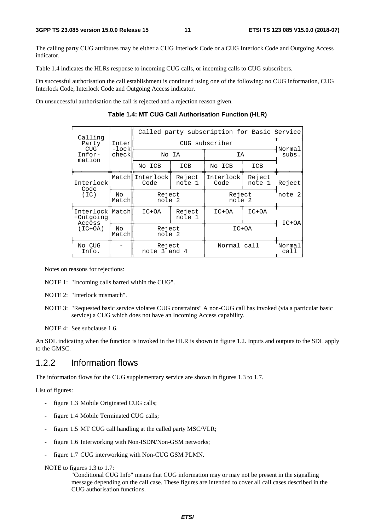The calling party CUG attributes may be either a CUG Interlock Code or a CUG Interlock Code and Outgoing Access indicator.

Table 1.4 indicates the HLRs response to incoming CUG calls, or incoming calls to CUG subscribers.

On successful authorisation the call establishment is continued using one of the following: no CUG information, CUG Interlock Code, Interlock Code and Outgoing Access indicator.

On unsuccessful authorisation the call is rejected and a rejection reason given.

**Table 1.4: MT CUG Call Authorisation Function (HLR)** 

| Inter              |                                                 | Normal           |                                                                        |                  |                                                                                      |  |
|--------------------|-------------------------------------------------|------------------|------------------------------------------------------------------------|------------------|--------------------------------------------------------------------------------------|--|
| check              |                                                 |                  |                                                                        |                  | subs.                                                                                |  |
|                    | No ICB                                          | ICB              | No ICB                                                                 | ICB              |                                                                                      |  |
|                    | Code                                            | Reject<br>note 1 | Interlock<br>Code                                                      | Reject<br>note 1 | Reject                                                                               |  |
| No.<br>Match       |                                                 |                  |                                                                        | note 2           |                                                                                      |  |
| Interlock<br>Match | Reject<br>$IC+OA$<br>note 1<br>Reject<br>note 2 |                  | $IC+OA$                                                                | $IC+OA$          | $IC+OA$                                                                              |  |
| No<br>Match        |                                                 |                  | $IC+OA$                                                                |                  |                                                                                      |  |
|                    |                                                 |                  |                                                                        |                  | Normal<br>call                                                                       |  |
|                    | $-$ lock $ $                                    |                  | No IA<br>Match Interlock<br>Reject<br>note 2<br>Reject<br>note 3 and 4 | CUG subscriber   | Called party subscription for Basic Service<br>IA<br>Reject<br>note 2<br>Normal call |  |

Notes on reasons for rejections:

- NOTE 1: "Incoming calls barred within the CUG".
- NOTE 2: "Interlock mismatch".
- NOTE 3: "Requested basic service violates CUG constraints" A non-CUG call has invoked (via a particular basic service) a CUG which does not have an Incoming Access capability.

NOTE 4: See subclause 1.6.

An SDL indicating when the function is invoked in the HLR is shown in figure 1.2. Inputs and outputs to the SDL apply to the GMSC.

#### 1.2.2 Information flows

The information flows for the CUG supplementary service are shown in figures 1.3 to 1.7.

List of figures:

- figure 1.3 Mobile Originated CUG calls;
- figure 1.4 Mobile Terminated CUG calls;
- figure 1.5 MT CUG call handling at the called party MSC/VLR;
- figure 1.6 Interworking with Non-ISDN/Non-GSM networks;
- figure 1.7 CUG interworking with Non-CUG GSM PLMN.

#### NOTE to figures 1.3 to 1.7:

"Conditional CUG Info" means that CUG information may or may not be present in the signalling message depending on the call case. These figures are intended to cover all call cases described in the CUG authorisation functions.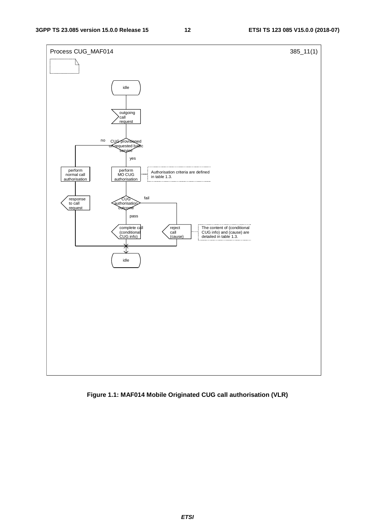

**Figure 1.1: MAF014 Mobile Originated CUG call authorisation (VLR)**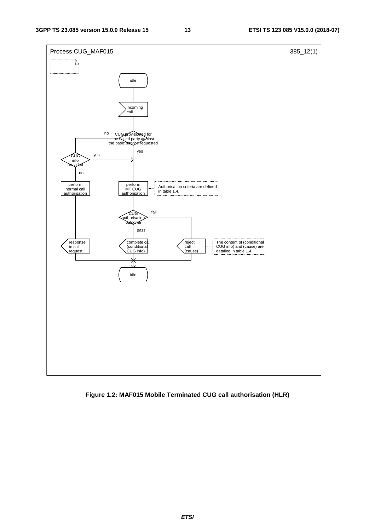

**Figure 1.2: MAF015 Mobile Terminated CUG call authorisation (HLR)**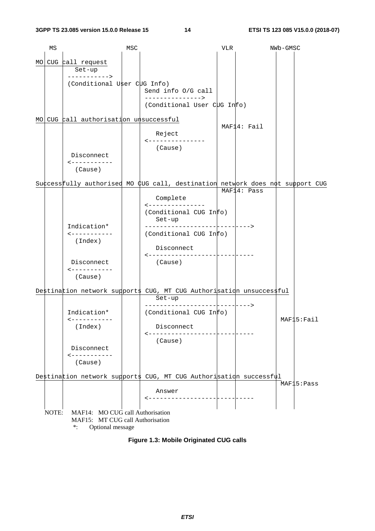|      | ΜS    |                                       | MSC |                                                                     | VLR | NWb-GMSC                                                                       |
|------|-------|---------------------------------------|-----|---------------------------------------------------------------------|-----|--------------------------------------------------------------------------------|
| MO   |       | CUG call request                      |     |                                                                     |     |                                                                                |
|      |       | Set-up<br>----------->                |     |                                                                     |     |                                                                                |
|      |       | (Conditional User CUG Info)           |     | Send info O/G call                                                  |     |                                                                                |
|      |       |                                       |     | -------------->                                                     |     |                                                                                |
|      |       |                                       |     | (Conditional User CUG Info)                                         |     |                                                                                |
| MO I |       | CUG call authorisation unsuccessful   |     |                                                                     |     | MAF14: Fail                                                                    |
|      |       |                                       |     | Reject                                                              |     |                                                                                |
|      |       |                                       |     | ---------------<br>(Cause)                                          |     |                                                                                |
|      |       | Disconnect<br>$- - - - - - - - - - -$ |     |                                                                     |     |                                                                                |
|      |       | (Cause)                               |     |                                                                     |     |                                                                                |
|      |       |                                       |     |                                                                     |     | Success fully authorised MO CUG call, destination network does not support CUG |
|      |       |                                       |     |                                                                     |     | MAF14: Pass                                                                    |
|      |       |                                       |     | Complete<br><---------------                                        |     |                                                                                |
|      |       |                                       |     | (Conditional CUG Info)<br>Set-up                                    |     |                                                                                |
|      |       | Indication*                           |     | ------------------                                                  |     | - - - - ->                                                                     |
|      |       | ------------<br>(Index)               |     | (Conditional CUG Info)                                              |     |                                                                                |
|      |       |                                       |     | Disconnect                                                          |     |                                                                                |
|      |       | Disconnect                            |     | (Cause)                                                             |     |                                                                                |
|      |       | ------------<br>(Cause)               |     |                                                                     |     |                                                                                |
|      |       |                                       |     | Destination network supports CUG, MT CUG Authorisation unsuccessful |     |                                                                                |
|      |       |                                       |     | Set-up                                                              |     |                                                                                |
|      |       | Indication*                           |     | --------------------<br>(Conditional CUG Info)                      |     | -------->                                                                      |
|      |       | <-----------<br>(Index)               |     | Disconnect                                                          |     | MAF15:Fail                                                                     |
|      |       |                                       |     | (Cause)                                                             |     |                                                                                |
|      |       | Disconnect                            |     |                                                                     |     |                                                                                |
|      |       | ------------<br>(Cause)               |     |                                                                     |     |                                                                                |
|      |       |                                       |     | Destination network supports CUG, MT CUG Authorisation successful   |     |                                                                                |
|      |       |                                       |     | Answer                                                              |     | MAF15: Pass                                                                    |
|      |       |                                       |     | ------------------                                                  |     |                                                                                |
|      | NOTE: | MAF14: MO CUG call Authorisation      |     |                                                                     |     |                                                                                |
|      |       | MAF15: MT CUG call Authorisation      |     |                                                                     |     |                                                                                |

\*: Optional message

**Figure 1.3: Mobile Originated CUG calls**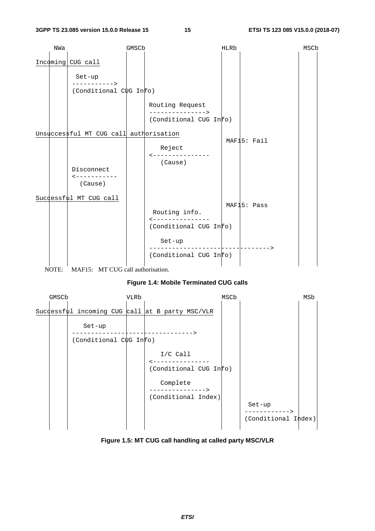

NOTE: MAF15: MT CUG call authorisation.

#### **Figure 1.4: Mobile Terminated CUG calls**



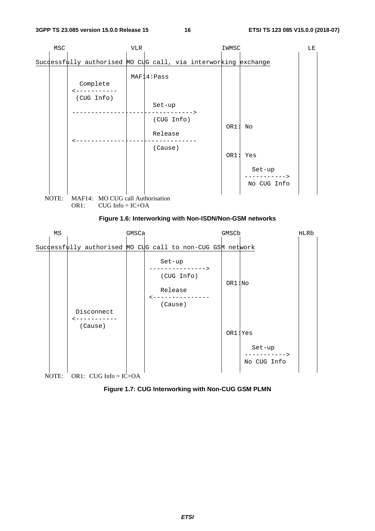





 Set-up -----------> No CUG Info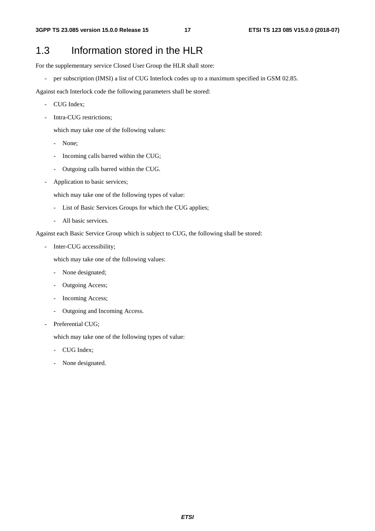### 1.3 Information stored in the HLR

For the supplementary service Closed User Group the HLR shall store:

- per subscription (IMSI) a list of CUG Interlock codes up to a maximum specified in GSM 02.85.

Against each Interlock code the following parameters shall be stored:

- CUG Index;
- Intra-CUG restrictions:

which may take one of the following values:

- None;
- Incoming calls barred within the CUG;
- Outgoing calls barred within the CUG.
- Application to basic services;

which may take one of the following types of value:

- List of Basic Services Groups for which the CUG applies;
- All basic services.

Against each Basic Service Group which is subject to CUG, the following shall be stored:

Inter-CUG accessibility;

which may take one of the following values:

- None designated;
- Outgoing Access;
- Incoming Access;
- Outgoing and Incoming Access.
- Preferential CUG;

which may take one of the following types of value:

- CUG Index;
- None designated.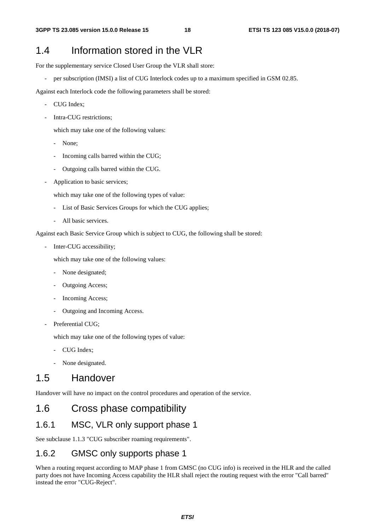### 1.4 Information stored in the VLR

For the supplementary service Closed User Group the VLR shall store:

- per subscription (IMSI) a list of CUG Interlock codes up to a maximum specified in GSM 02.85.

Against each Interlock code the following parameters shall be stored:

- CUG Index;
- Intra-CUG restrictions:

which may take one of the following values:

- None;
- Incoming calls barred within the CUG;
- Outgoing calls barred within the CUG.
- Application to basic services;

which may take one of the following types of value:

- List of Basic Services Groups for which the CUG applies;
- All basic services.

Against each Basic Service Group which is subject to CUG, the following shall be stored:

Inter-CUG accessibility;

which may take one of the following values:

- None designated;
- Outgoing Access;
- Incoming Access;
- Outgoing and Incoming Access.
- Preferential CUG:

which may take one of the following types of value:

- CUG Index;
- None designated.

### 1.5 Handover

Handover will have no impact on the control procedures and operation of the service.

### 1.6 Cross phase compatibility

#### 1.6.1 MSC, VLR only support phase 1

See subclause 1.1.3 "CUG subscriber roaming requirements".

#### 1.6.2 GMSC only supports phase 1

When a routing request according to MAP phase 1 from GMSC (no CUG info) is received in the HLR and the called party does not have Incoming Access capability the HLR shall reject the routing request with the error "Call barred" instead the error "CUG-Reject".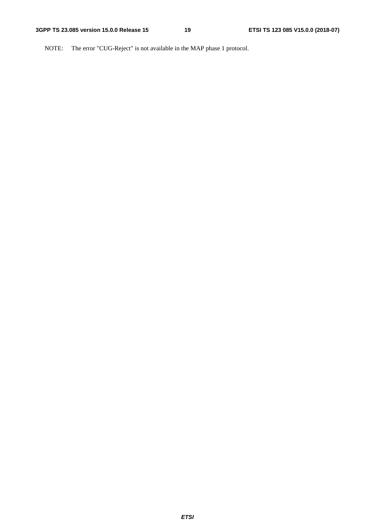NOTE: The error "CUG-Reject" is not available in the MAP phase 1 protocol.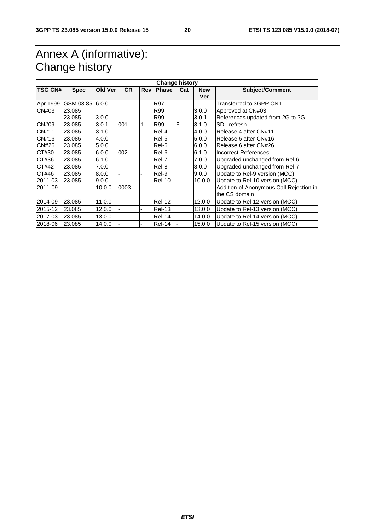### Annex A (informative): Change history

| <b>Change history</b>                                 |                 |            |                |     |               |                        |        |                                         |  |
|-------------------------------------------------------|-----------------|------------|----------------|-----|---------------|------------------------|--------|-----------------------------------------|--|
| <b>TSG CN#</b><br>Old Ver<br><b>CR</b><br><b>Spec</b> |                 | <b>Rev</b> | Phase          | Cat | <b>New</b>    | <b>Subject/Comment</b> |        |                                         |  |
|                                                       |                 |            |                |     |               |                        | Ver    |                                         |  |
| Apr 1999                                              | GSM 03.85 6.0.0 |            |                |     | <b>R97</b>    |                        |        | Transferred to 3GPP CN1                 |  |
| CN#03                                                 | 23.085          |            |                |     | R99           |                        | 3.0.0  | Approved at CN#03                       |  |
|                                                       | 23.085          | 3.0.0      |                |     | R99           |                        | 3.0.1  | References updated from 2G to 3G        |  |
| CN#09                                                 | 23.085          | 3.0.1      | 001            |     | R99           | F                      | 3.1.0  | SDL refresh                             |  |
| <b>CN#11</b>                                          | 23.085          | 3.1.0      |                |     | Rel-4         |                        | 4.0.0  | Release 4 after CN#11                   |  |
| CN#16                                                 | 23.085          | 4.0.0      |                |     | Rel-5         |                        | 5.0.0  | Release 5 after CN#16                   |  |
| CN#26                                                 | 23.085          | 5.0.0      |                |     | Rel-6         |                        | 6.0.0  | Release 6 after CN#26                   |  |
| CT#30                                                 | 23.085          | 6.0.0      | 002            |     | Rel-6         |                        | 6.1.0  | <b>Incorrect References</b>             |  |
| CT#36                                                 | 23.085          | 6.1.0      |                |     | Rel-7         |                        | 7.0.0  | Upgraded unchanged from Rel-6           |  |
| CT#42                                                 | 23.085          | 7.0.0      |                |     | Rel-8         |                        | 8.0.0  | Upgraded unchanged from Rel-7           |  |
| CT#46                                                 | 23.085          | 8.0.0      | $\blacksquare$ |     | Rel-9         |                        | 9.0.0  | Update to Rel-9 version (MCC)           |  |
| 2011-03                                               | 23.085          | 9.0.0      |                |     | <b>Rel-10</b> |                        | 10.0.0 | Update to Rel-10 version (MCC)          |  |
| 2011-09                                               |                 | 10.0.0     | 0003           |     |               |                        |        | Addition of Anonymous Call Rejection in |  |
|                                                       |                 |            |                |     |               |                        |        | the CS domain                           |  |
| 2014-09                                               | 23.085          | 11.0.0     |                |     | <b>Rel-12</b> |                        | 12.0.0 | Update to Rel-12 version (MCC)          |  |
| 2015-12                                               | 23.085          | 12.0.0     |                |     | <b>Rel-13</b> |                        | 13.0.0 | Update to Rel-13 version (MCC)          |  |
| 2017-03                                               | 23.085          | 13.0.0     |                |     | Rel-14        |                        | 14.0.0 | Update to Rel-14 version (MCC)          |  |
| 2018-06                                               | 23.085          | 14.0.0     |                |     | <b>Rel-14</b> |                        | 15.0.0 | Update to Rel-15 version (MCC)          |  |